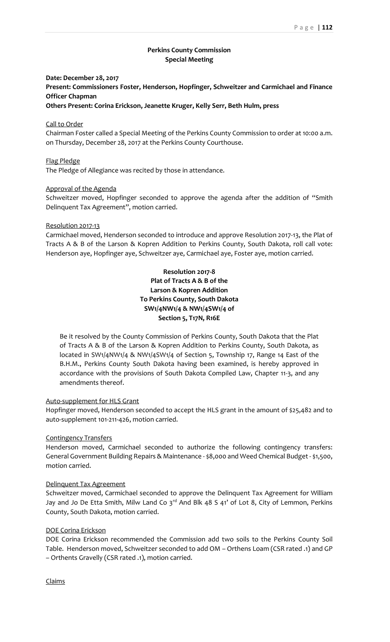## **Perkins County Commission Special Meeting**

### **Date: December 28, 2017**

**Present: Commissioners Foster, Henderson, Hopfinger, Schweitzer and Carmichael and Finance Officer Chapman**

**Others Present: Corina Erickson, Jeanette Kruger, Kelly Serr, Beth Hulm, press**

### Call to Order

Chairman Foster called a Special Meeting of the Perkins County Commission to order at 10:00 a.m. on Thursday, December 28, 2017 at the Perkins County Courthouse.

### Flag Pledge

The Pledge of Allegiance was recited by those in attendance.

### Approval of the Agenda

Schweitzer moved, Hopfinger seconded to approve the agenda after the addition of "Smith Delinquent Tax Agreement", motion carried.

#### Resolution 2017-13

Carmichael moved, Henderson seconded to introduce and approve Resolution 2017-13, the Plat of Tracts A & B of the Larson & Kopren Addition to Perkins County, South Dakota, roll call vote: Henderson aye, Hopfinger aye, Schweitzer aye, Carmichael aye, Foster aye, motion carried.

## **Resolution 2017-8 Plat of Tracts A & B of the Larson & Kopren Addition To Perkins County, South Dakota SW1/4NW1/4 & NW1/4SW1/4 of Section 5, T17N, R16E**

Be it resolved by the County Commission of Perkins County, South Dakota that the Plat of Tracts A & B of the Larson & Kopren Addition to Perkins County, South Dakota, as located in SW1/4NW1/4 & NW1/4SW1/4 of Section 5, Township 17, Range 14 East of the B.H.M., Perkins County South Dakota having been examined, is hereby approved in accordance with the provisions of South Dakota Compiled Law, Chapter 11-3, and any amendments thereof.

# Auto-supplement for HLS Grant

Hopfinger moved, Henderson seconded to accept the HLS grant in the amount of \$25,482 and to auto-supplement 101-211-426, motion carried.

### Contingency Transfers

Henderson moved, Carmichael seconded to authorize the following contingency transfers: General Government Building Repairs & Maintenance - \$8,000 and Weed Chemical Budget - \$1,500, motion carried.

#### Delinquent Tax Agreement

Schweitzer moved, Carmichael seconded to approve the Delinquent Tax Agreement for William Jay and Jo De Etta Smith, Milw Land Co 3<sup>rd</sup> And Blk 48 S 41' of Lot 8, City of Lemmon, Perkins County, South Dakota, motion carried.

### DOE Corina Erickson

DOE Corina Erickson recommended the Commission add two soils to the Perkins County Soil Table. Henderson moved, Schweitzer seconded to add OM – Orthens Loam (CSR rated .1) and GP – Orthents Gravelly (CSR rated .1), motion carried.

Claims